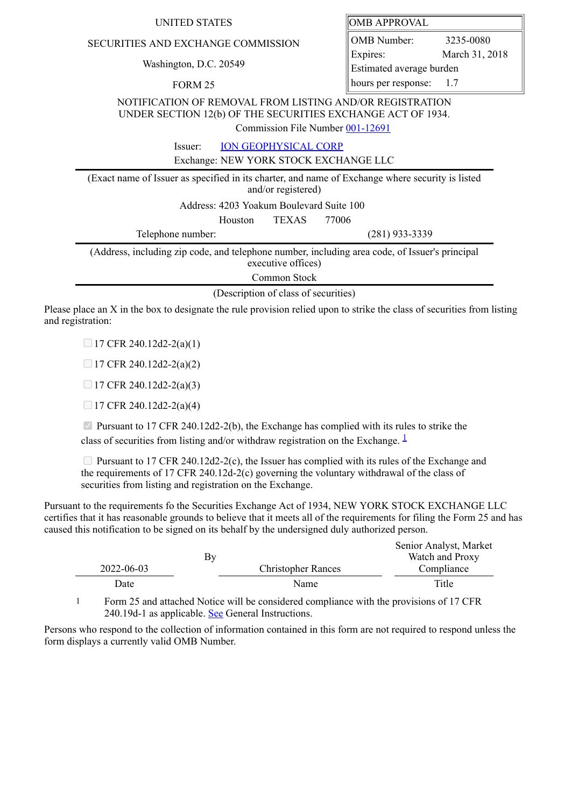## SECURITIES AND EXCHANGE COMMISSION

Washington, D.C. 20549

FORM 25

OMB APPROVAL

OMB Number: 3235-0080 Expires: March 31, 2018 Estimated average burden hours per response: 1.7

NOTIFICATION OF REMOVAL FROM LISTING AND/OR REGISTRATION UNDER SECTION 12(b) OF THE SECURITIES EXCHANGE ACT OF 1934.

Commission File Number [001-12691](file:///cgi-bin/browse-edgar?action=getcompany&filenum=001-12691)

Issuer: [ION GEOPHYSICAL CORP](http://www.sec.gov/cgi-bin/browse-edgar?action=getcompany&CIK=0000866609)

Exchange: NEW YORK STOCK EXCHANGE LLC

(Exact name of Issuer as specified in its charter, and name of Exchange where security is listed and/or registered) Address: 4203 Yoakum Boulevard Suite 100 Houston TEXAS 77006 Telephone number: (281) 933-3339 (Address, including zip code, and telephone number, including area code, of Issuer's principal executive offices)

Common Stock

(Description of class of securities)

Please place an X in the box to designate the rule provision relied upon to strike the class of securities from listing and registration:

 $\Box$  17 CFR 240.12d2-2(a)(1)

 $\Box$  17 CFR 240.12d2-2(a)(2)

 $\Box$  17 CFR 240.12d2-2(a)(3)

 $\Box$  17 CFR 240.12d2-2(a)(4)

Pursuant to 17 CFR 240.12d2-2(b), the Exchange has complied with its rules to strike the class of securities from listing and/or withdraw registration on the Exchange.  $\frac{1}{2}$  $\frac{1}{2}$  $\frac{1}{2}$ 

**Pursuant to 17 CFR 240.12d2-2(c), the Issuer has complied with its rules of the Exchange and** the requirements of 17 CFR 240.12d-2(c) governing the voluntary withdrawal of the class of securities from listing and registration on the Exchange.

Pursuant to the requirements fo the Securities Exchange Act of 1934, NEW YORK STOCK EXCHANGE LLC certifies that it has reasonable grounds to believe that it meets all of the requirements for filing the Form 25 and has caused this notification to be signed on its behalf by the undersigned duly authorized person.

|            |    |                           | Senior Analyst, Market |
|------------|----|---------------------------|------------------------|
|            | By |                           | Watch and Proxy        |
| 2022-06-03 |    | <b>Christopher Rances</b> | Compliance             |
| Date       |    | Name                      | Title                  |

<span id="page-0-0"></span>1 Form 25 and attached Notice will be considered compliance with the provisions of 17 CFR 240.19d-1 as applicable. See General Instructions.

Persons who respond to the collection of information contained in this form are not required to respond unless the form displays a currently valid OMB Number.